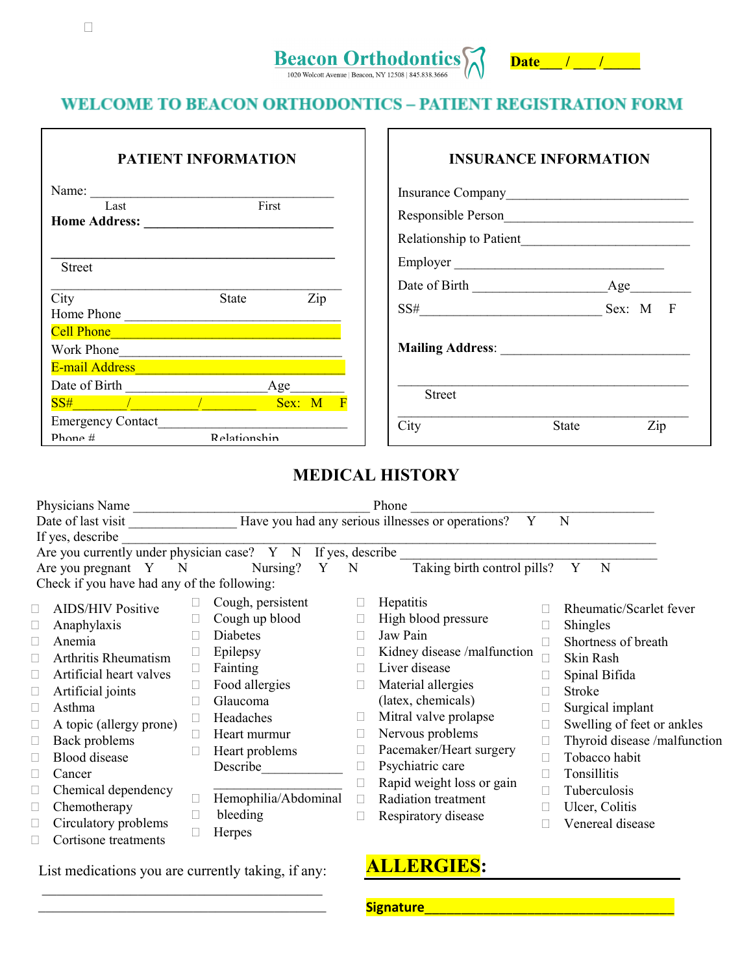# Beacon Orthodontics



# **WELCOME TO BEACON ORTHODONTICS – PATIENT REGISTRATION FORM**

| <b>PATIENT INFORMATION</b>                                                                                                                                                                                                                                           |              |                                  | <b>INSURANCE INFORMATION</b> |                                                                                                                                                                                                                                                                                                                                                                                                           |       |          |
|----------------------------------------------------------------------------------------------------------------------------------------------------------------------------------------------------------------------------------------------------------------------|--------------|----------------------------------|------------------------------|-----------------------------------------------------------------------------------------------------------------------------------------------------------------------------------------------------------------------------------------------------------------------------------------------------------------------------------------------------------------------------------------------------------|-------|----------|
| Name:<br>First<br>Last                                                                                                                                                                                                                                               |              |                                  |                              |                                                                                                                                                                                                                                                                                                                                                                                                           |       |          |
| <b>Street</b>                                                                                                                                                                                                                                                        |              |                                  |                              | Employer                                                                                                                                                                                                                                                                                                                                                                                                  |       |          |
| City<br>Home Phone                                                                                                                                                                                                                                                   | State        | Zip                              |                              | Date of Birth<br>$SS# \begin{tabular}{@{}c@{\hspace{1em}}l} \hspace*{-0.25cm} & \hspace*{-0.25cm} & \hspace*{-0.25cm} & \hspace*{-0.25cm} & \hspace*{-0.25cm} & \hspace*{-0.25cm} & \hspace*{-0.25cm} & \hspace*{-0.25cm} & \hspace*{-0.25cm} & \hspace*{-0.25cm} & \hspace*{-0.25cm} & \hspace*{-0.25cm} & \hspace*{-0.25cm} & \hspace*{-0.25cm} & \hspace*{-0.25cm} & \hspace*{-0.25cm} & \hspace*{-0.$ |       | Sex: M F |
| Cell Phone <b>Contract of the Contract of the Contract of the Contract of the Contract of the Contract of the Contract of the Contract of the Contract of the Contract of the Contract of the Contract of the Contract of the Co</b><br>Work Phone<br>E-mail Address |              |                                  |                              |                                                                                                                                                                                                                                                                                                                                                                                                           |       |          |
| Date of Birth<br>$SS#$ / $\qquad$                                                                                                                                                                                                                                    |              | $Age$ <sub>___</sub><br>Sex: M F |                              | <b>Street</b>                                                                                                                                                                                                                                                                                                                                                                                             |       |          |
| Emergency Contact<br>Phone $#$                                                                                                                                                                                                                                       | Relationshin |                                  | City                         |                                                                                                                                                                                                                                                                                                                                                                                                           | State | Zip      |

# **MEDICAL HISTORY**

|                                                                       | Physicians Name                             |  |                      |             | Phone                                                  |                              |  |
|-----------------------------------------------------------------------|---------------------------------------------|--|----------------------|-------------|--------------------------------------------------------|------------------------------|--|
|                                                                       | Date of last visit                          |  |                      |             | Have you had any serious illnesses or operations?<br>Y | N                            |  |
|                                                                       | If yes, describe                            |  |                      |             |                                                        |                              |  |
| Are you currently under physician case? $Y \times N$ If yes, describe |                                             |  |                      |             |                                                        |                              |  |
|                                                                       | Are you pregnant $Y$ N                      |  | Nursing? Y           | $\mathbf N$ | Taking birth control pills?                            | N<br>Y                       |  |
|                                                                       | Check if you have had any of the following: |  |                      |             |                                                        |                              |  |
|                                                                       | <b>AIDS/HIV Positive</b>                    |  | Cough, persistent    |             | Hepatitis                                              | Rheumatic/Scarlet fever      |  |
|                                                                       | Anaphylaxis                                 |  | Cough up blood       | $\Box$      | High blood pressure                                    | Shingles                     |  |
|                                                                       | Anemia                                      |  | Diabetes             |             | Jaw Pain                                               | Shortness of breath          |  |
|                                                                       | Arthritis Rheumatism                        |  | Epilepsy             |             | Kidney disease /malfunction                            | Skin Rash                    |  |
|                                                                       | Artificial heart valves                     |  | Fainting             |             | Liver disease                                          | Spinal Bifida                |  |
|                                                                       | Artificial joints                           |  | Food allergies       | $\Box$      | Material allergies                                     | Stroke                       |  |
|                                                                       | Asthma                                      |  | Glaucoma             |             | (latex, chemicals)                                     | Surgical implant             |  |
|                                                                       | A topic (allergy prone)                     |  | Headaches            | $\Box$      | Mitral valve prolapse                                  | Swelling of feet or ankles   |  |
|                                                                       | Back problems                               |  | Heart murmur         |             | Nervous problems                                       | Thyroid disease /malfunction |  |
|                                                                       | <b>Blood</b> disease                        |  | Heart problems       | $\Box$      | Pacemaker/Heart surgery                                | Tobacco habit                |  |
|                                                                       | Cancer                                      |  | Describe             |             | Psychiatric care                                       | Tonsillitis                  |  |
|                                                                       |                                             |  |                      |             | Rapid weight loss or gain                              | Tuberculosis                 |  |
|                                                                       | Chemical dependency                         |  | Hemophilia/Abdominal | П           | Radiation treatment                                    |                              |  |
|                                                                       | Chemotherapy                                |  | bleeding             | $\Box$      | Respiratory disease                                    | Ulcer, Colitis               |  |
|                                                                       | Circulatory problems                        |  | Herpes               |             |                                                        | Venereal disease             |  |
|                                                                       | Cortisone treatments                        |  |                      |             |                                                        |                              |  |

List medications you are currently taking, if any:

\_\_\_\_\_\_\_\_\_\_\_\_\_\_\_\_\_\_\_\_\_\_\_\_\_\_\_\_\_\_\_\_\_\_\_\_\_\_\_

# **ALLERGIES:**

**Signature**\_\_\_\_\_\_\_\_\_\_\_\_\_\_\_\_\_\_\_\_\_\_\_\_\_\_\_\_\_\_\_\_\_\_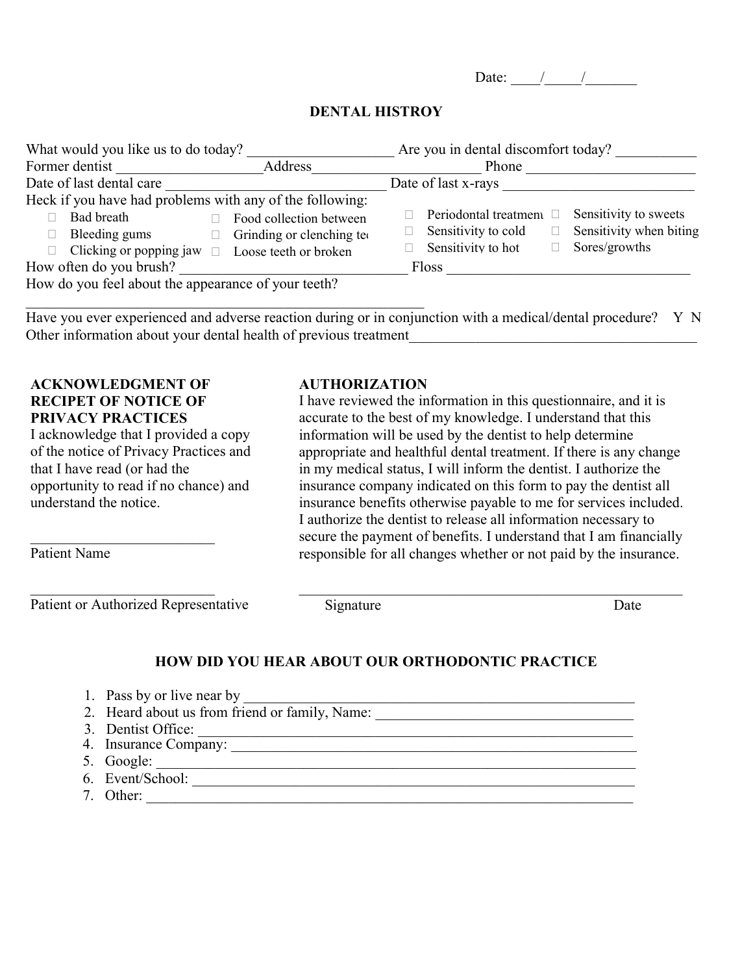Date:  $\frac{1}{2}$  /

#### **DENTAL HISTROY**

| What would you like us to do today?                                                                                                                                                                        | Are you in dental discomfort today?                                                                                                               |  |  |  |
|------------------------------------------------------------------------------------------------------------------------------------------------------------------------------------------------------------|---------------------------------------------------------------------------------------------------------------------------------------------------|--|--|--|
| Address<br>Former dentist                                                                                                                                                                                  | Phone                                                                                                                                             |  |  |  |
| Date of last dental care                                                                                                                                                                                   | Date of last x-rays                                                                                                                               |  |  |  |
| Heck if you have had problems with any of the following:<br>Bad breath<br>Food collection between<br>Bleeding gums<br>Grinding or clenching teo<br>Clicking or popping jaw $\Box$<br>Loose teeth or broken | Sensitivity to sweets<br>Periodontal treatment $\square$<br>Sensitivity when biting<br>Sensitivity to cold<br>Sensitivity to hot<br>Sores/growths |  |  |  |
| How often do you brush?                                                                                                                                                                                    | <b>Floss</b>                                                                                                                                      |  |  |  |
| How do you feel about the appearance of your teeth?                                                                                                                                                        |                                                                                                                                                   |  |  |  |

Have you ever experienced and adverse reaction during or in conjunction with a medical/dental procedure? Y N Other information about your dental health of previous treatment\_\_\_\_\_\_\_\_\_\_\_\_\_\_\_\_\_\_\_\_\_\_\_\_\_\_\_\_\_\_\_\_\_\_\_\_\_\_\_

#### **ACKNOWLEDGMENT OF RECIPET OF NOTICE OF PRIVACY PRACTICES**

\_\_\_\_\_\_\_\_\_\_\_\_\_\_\_\_\_\_\_\_\_\_\_\_\_

\_\_\_\_\_\_\_\_\_\_\_\_\_\_\_\_\_\_\_\_\_\_\_\_\_

I acknowledge that I provided a copy of the notice of Privacy Practices and that I have read (or had the opportunity to read if no chance) and understand the notice.

Patient Name

Patient or Authorized Representative

#### **AUTHORIZATION**

I have reviewed the information in this questionnaire, and it is accurate to the best of my knowledge. I understand that this information will be used by the dentist to help determine appropriate and healthful dental treatment. If there is any change in my medical status, I will inform the dentist. I authorize the insurance company indicated on this form to pay the dentist all insurance benefits otherwise payable to me for services included. I authorize the dentist to release all information necessary to secure the payment of benefits. I understand that I am financially responsible for all changes whether or not paid by the insurance.

\_\_\_\_\_\_\_\_\_\_\_\_\_\_\_\_\_\_\_\_\_\_\_\_\_\_\_\_\_\_\_\_\_\_\_\_\_\_\_\_\_\_\_\_\_\_\_\_\_\_\_\_

Signature Date

#### **HOW DID YOU HEAR ABOUT OUR ORTHODONTIC PRACTICE**

- 1. Pass by or live near by \_\_\_\_\_\_\_\_\_\_\_\_\_\_\_\_\_\_\_\_\_\_\_\_\_\_\_\_\_\_\_\_\_\_\_\_\_\_\_\_\_\_\_\_\_\_\_\_\_\_\_\_\_
- 2. Heard about us from friend or family, Name: \_\_\_\_\_\_\_\_\_\_\_\_\_\_\_\_\_\_\_\_\_\_\_\_\_\_\_\_\_\_\_\_\_\_ 3. Dentist Office: \_\_\_\_\_\_\_\_\_\_\_\_\_\_\_\_\_\_\_\_\_\_\_\_\_\_\_\_\_\_\_\_\_\_\_\_\_\_\_\_\_\_\_\_\_\_\_\_\_\_\_\_\_\_\_\_\_\_\_
- 4. PennySaver \_\_\_\_\_\_\_\_\_\_\_\_\_\_\_\_\_\_\_\_\_\_\_\_\_\_\_\_\_\_\_\_\_\_\_\_\_\_\_\_\_\_\_\_\_\_\_\_\_\_\_\_\_\_\_\_\_\_\_\_\_ 4. Insurance Company: \_\_\_\_\_\_\_\_\_\_\_\_\_\_\_\_\_\_\_\_\_\_\_\_\_\_\_\_\_\_\_\_\_\_\_\_\_\_\_\_\_\_\_\_\_\_\_\_\_\_\_\_\_\_\_
- 5. Yellow Pages \_\_\_\_\_\_\_\_\_\_\_\_\_\_\_\_\_\_\_\_\_\_\_\_\_\_\_\_\_\_\_\_\_\_\_\_\_\_\_\_\_\_\_\_\_\_\_\_\_\_\_\_\_\_\_\_\_\_\_\_ 5. Google: \_\_\_\_\_\_\_\_\_\_\_\_\_\_\_\_\_\_\_\_\_\_\_\_\_\_\_\_\_\_\_\_\_\_\_\_\_\_\_\_\_\_\_\_\_\_\_\_\_\_\_\_\_\_\_\_\_\_\_\_\_\_\_\_\_
- 6. Beacon Free Press \_\_\_\_\_\_\_\_\_\_\_\_\_\_\_\_\_\_\_\_\_\_\_\_\_\_\_\_\_\_\_\_\_\_\_\_\_\_\_\_\_\_\_\_\_\_\_\_\_\_\_\_\_\_\_\_ 6. Event/School: \_\_\_\_\_\_\_\_\_\_\_\_\_\_\_\_\_\_\_\_\_\_\_\_\_\_\_\_\_\_\_\_\_\_\_\_\_\_\_\_\_\_\_\_\_\_\_\_\_\_\_\_\_\_\_\_\_\_\_\_
- 7. Insurance Company \_\_\_\_\_\_\_\_\_\_\_\_\_\_\_\_\_\_\_\_\_\_\_\_\_\_\_\_\_\_\_\_\_\_\_\_\_\_\_\_\_\_\_\_\_\_\_\_\_\_\_\_\_\_\_ 7. Other: \_\_\_\_\_\_\_\_\_\_\_\_\_\_\_\_\_\_\_\_\_\_\_\_\_\_\_\_\_\_\_\_\_\_\_\_\_\_\_\_\_\_\_\_\_\_\_\_\_\_\_\_\_\_\_\_\_\_\_\_\_\_\_\_\_\_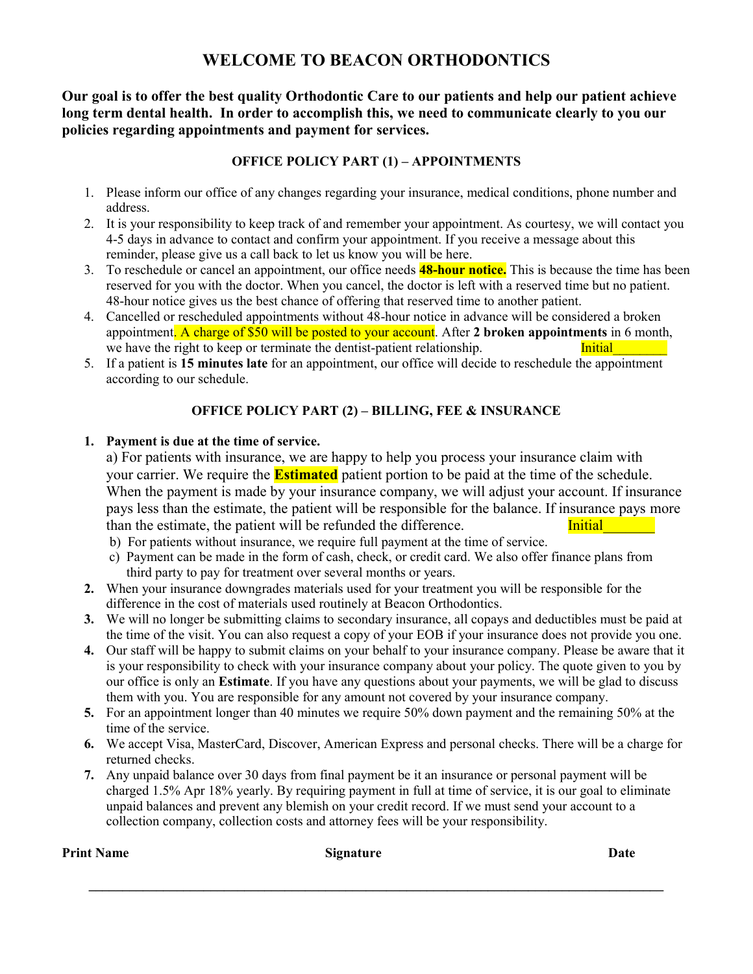### **WELCOME TO BEACON ORTHODONTICS**

**Our goal is to offer the best quality Orthodontic Care to our patients and help our patient achieve long term dental health. In order to accomplish this, we need to communicate clearly to you our policies regarding appointments and payment for services.** 

#### **OFFICE POLICY PART (1) – APPOINTMENTS**

- 1. Please inform our office of any changes regarding your insurance, medical conditions, phone number and address.
- 2. It is your responsibility to keep track of and remember your appointment. As courtesy, we will contact you 4-5 days in advance to contact and confirm your appointment. If you receive a message about this reminder, please give us a call back to let us know you will be here.
- 3. To reschedule or cancel an appointment, our office needs **48-hour notice.** This is because the time has been reserved for you with the doctor. When you cancel, the doctor is left with a reserved time but no patient. 48-hour notice gives us the best chance of offering that reserved time to another patient.
- 4. Cancelled or rescheduled appointments without 48-hour notice in advance will be considered a broken appointment. A charge of \$50 will be posted to your account. After **2 broken appointments** in 6 month, we have the right to keep or terminate the dentist-patient relationship. Initial
- 5. If a patient is **15 minutes late** for an appointment, our office will decide to reschedule the appointment according to our schedule.

#### **OFFICE POLICY PART (2) – BILLING, FEE & INSURANCE**

#### **1. Payment is due at the time of service.**

a) For patients with insurance, we are happy to help you process your insurance claim with your carrier. We require the **Estimated** patient portion to be paid at the time of the schedule. When the payment is made by your insurance company, we will adjust your account. If insurance pays less than the estimate, the patient will be responsible for the balance. If insurance pays more than the estimate, the patient will be refunded the difference. Initial

- b) For patients without insurance, we require full payment at the time of service.
- c) Payment can be made in the form of cash, check, or credit card. We also offer finance plans from third party to pay for treatment over several months or years.
- **2.** When your insurance downgrades materials used for your treatment you will be responsible for the difference in the cost of materials used routinely at Beacon Orthodontics.
- **3.** We will no longer be submitting claims to secondary insurance, all copays and deductibles must be paid at the time of the visit. You can also request a copy of your EOB if your insurance does not provide you one.
- **4.** Our staff will be happy to submit claims on your behalf to your insurance company. Please be aware that it is your responsibility to check with your insurance company about your policy. The quote given to you by our office is only an **Estimate**. If you have any questions about your payments, we will be glad to discuss them with you. You are responsible for any amount not covered by your insurance company.
- **5.** For an appointment longer than 40 minutes we require 50% down payment and the remaining 50% at the time of the service.
- **6.** We accept Visa, MasterCard, Discover, American Express and personal checks. There will be a charge for returned checks.
- **7.** Any unpaid balance over 30 days from final payment be it an insurance or personal payment will be charged 1.5% Apr 18% yearly. By requiring payment in full at time of service, it is our goal to eliminate unpaid balances and prevent any blemish on your credit record. If we must send your account to a collection company, collection costs and attorney fees will be your responsibility.

**\_\_\_\_\_\_\_\_\_\_\_\_\_\_\_\_\_\_\_\_\_\_\_\_\_\_\_\_\_\_\_\_\_\_\_\_\_\_\_\_\_\_\_\_\_\_\_\_\_\_\_\_\_\_\_\_\_\_\_\_\_\_\_\_\_\_\_\_\_\_\_\_\_\_\_\_\_\_\_\_\_\_\_\_\_** 

**Print Name** Date **Date** Signature **Signature** Date